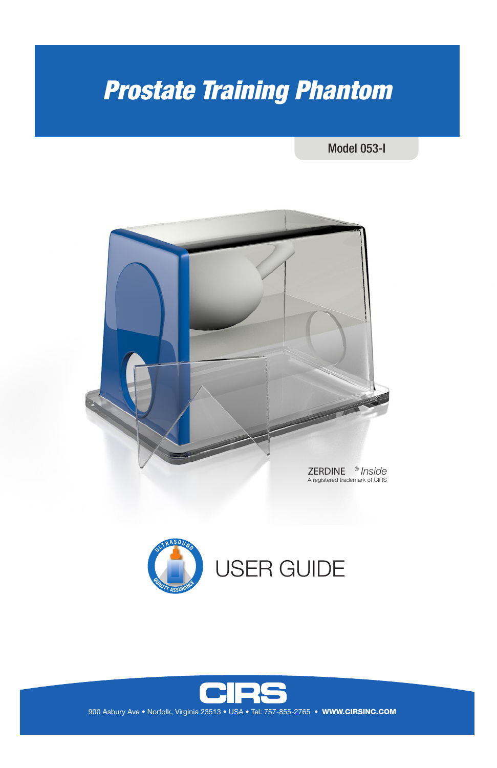# *Prostate Training Phantom*

Model 053-I







900 Asbury Ave • Norfolk, Virginia 23513 • USA • Tel: 757-855-2765 • WWW.CIRSINC.COM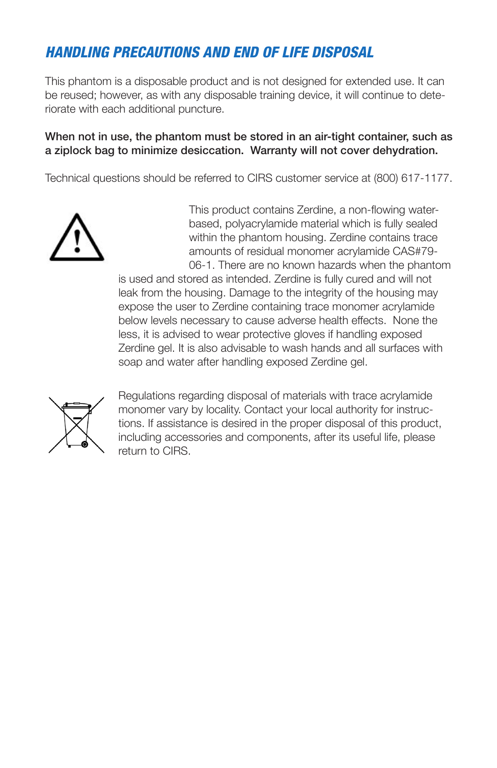# *HANDLING PRECAUTIONS AND END OF LIFE DISPOSAL*

This phantom is a disposable product and is not designed for extended use. It can be reused; however, as with any disposable training device, it will continue to deteriorate with each additional puncture.

#### When not in use, the phantom must be stored in an air-tight container, such as a ziplock bag to minimize desiccation. Warranty will not cover dehydration.

Technical questions should be referred to CIRS customer service at (800) 617-1177.



This product contains Zerdine, a non-flowing waterbased, polyacrylamide material which is fully sealed within the phantom housing. Zerdine contains trace amounts of residual monomer acrylamide CAS#79- 06-1. There are no known hazards when the phantom

is used and stored as intended. Zerdine is fully cured and will not leak from the housing. Damage to the integrity of the housing may expose the user to Zerdine containing trace monomer acrylamide below levels necessary to cause adverse health effects. None the less, it is advised to wear protective gloves if handling exposed Zerdine gel. It is also advisable to wash hands and all surfaces with soap and water after handling exposed Zerdine gel.



Regulations regarding disposal of materials with trace acrylamide monomer vary by locality. Contact your local authority for instructions. If assistance is desired in the proper disposal of this product, including accessories and components, after its useful life, please return to CIRS.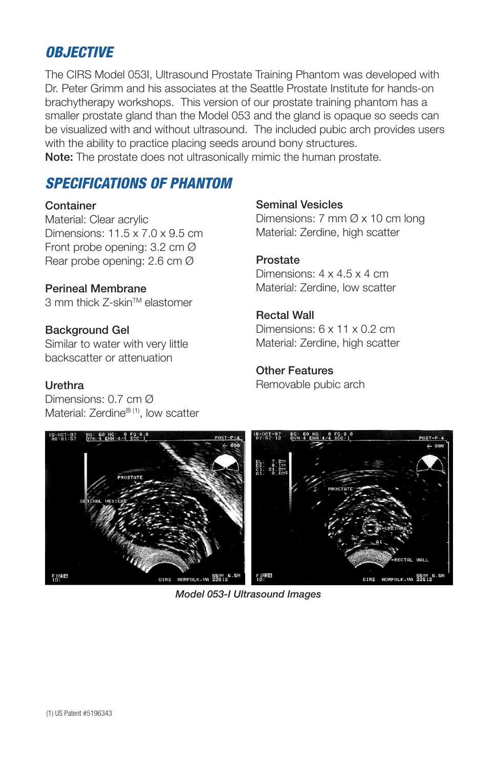# *OBJECTIVE*

The CIRS Model 053I, Ultrasound Prostate Training Phantom was developed with Dr. Peter Grimm and his associates at the Seattle Prostate Institute for hands-on brachytherapy workshops. This version of our prostate training phantom has a smaller prostate gland than the Model 053 and the gland is opaque so seeds can be visualized with and without ultrasound. The included pubic arch provides users with the ability to practice placing seeds around bony structures.

Note: The prostate does not ultrasonically mimic the human prostate.

## *SPECIFICATIONS OF PHANTOM*

#### **Container**

Material: Clear acrylic Dimensions: 11.5 x 7.0 x 9.5 cm Front probe opening: 3.2 cm Ø Rear probe opening: 2.6 cm Ø

## Perineal Membrane

3 mm thick Z-skin™ elastomer

#### Background Gel

Similar to water with very little backscatter or attenuation

## **Urethra**

Dimensions: 0.7 cm Ø Material: Zerdine®<sup>(1)</sup>, low scatter

#### Seminal Vesicles

Dimensions: 7 mm Ø x 10 cm long Material: Zerdine, high scatter

## Prostate

Dimensions: 4 x 4.5 x 4 cm Material: Zerdine, low scatter

## Rectal Wall

Dimensions: 6 x 11 x 0.2 cm Material: Zerdine, high scatter

#### Other Features

Removable pubic arch



*Model 053-I Ultrasound Images*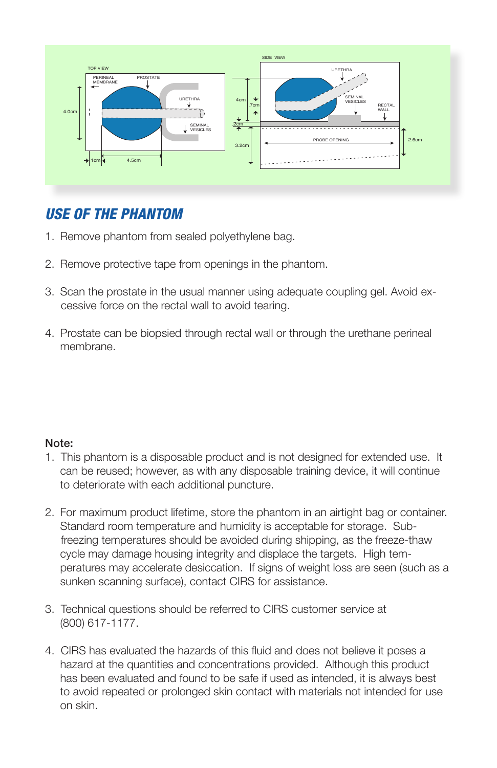

# *USE OF THE PHANTOM*

- 1. Remove phantom from sealed polyethylene bag.
- 2. Remove protective tape from openings in the phantom.
- 3. Scan the prostate in the usual manner using adequate coupling gel. Avoid ex cessive force on the rectal wall to avoid tearing.
- 4. Prostate can be biopsied through rectal wall or through the urethane perineal membrane.

## Note:

- 1. This phantom is a disposable product and is not designed for extended use. It can be reused; however, as with any disposable training device, it will continue to deteriorate with each additional puncture.
- 2. For maximum product lifetime, store the phantom in an airtight bag or container. Standard room temperature and humidity is acceptable for storage. Sub freezing temperatures should be avoided during shipping, as the freeze-thaw cycle may damage housing integrity and displace the targets. High temperatures may accelerate desiccation. If signs of weight loss are seen (such as a sunken scanning surface), contact CIRS for assistance.
- 3. Technical questions should be referred to CIRS customer service at (800) 617-1177.
- 4. CIRS has evaluated the hazards of this fluid and does not believe it poses a hazard at the quantities and concentrations provided. Although this product has been evaluated and found to be safe if used as intended, it is always best to avoid repeated or prolonged skin contact with materials not intended for use on skin.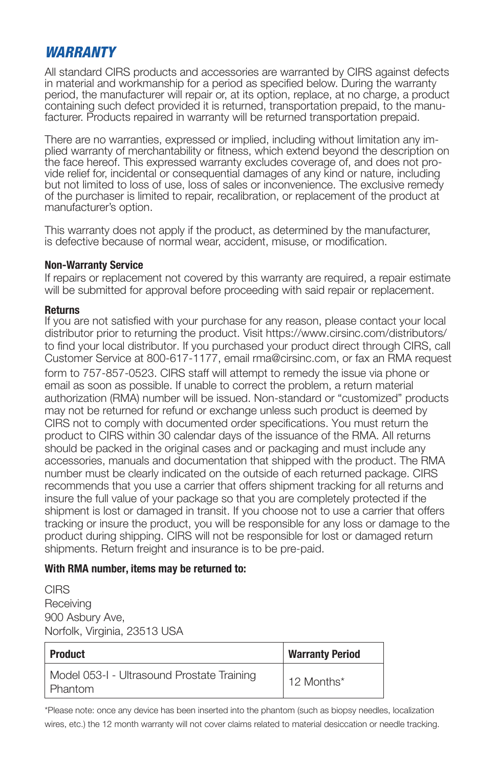# *WARRANTY*

All standard CIRS products and accessories are warranted by CIRS against defects in material and workmanship for a period as specified below. During the warranty period, the manufacturer will repair or, at its option, replace, at no charge, a product containing such defect provided it is returned, transportation prepaid, to the manufacturer. Products repaired in warranty will be returned transportation prepaid.

There are no warranties, expressed or implied, including without limitation any implied warranty of merchantability or fitness, which extend beyond the description on the face hereof. This expressed warranty excludes coverage of, and does not provide relief for, incidental or consequential damages of any kind or nature, including but not limited to loss of use, loss of sales or inconvenience. The exclusive remedy of the purchaser is limited to repair, recalibration, or replacement of the product at manufacturer's option.

This warranty does not apply if the product, as determined by the manufacturer, is defective because of normal wear, accident, misuse, or modification.

#### **Non-Warranty Service**

If repairs or replacement not covered by this warranty are required, a repair estimate will be submitted for approval before proceeding with said repair or replacement.

#### **Returns**

If you are not satisfied with your purchase for any reason, please contact your local distributor prior to returning the product. Visit https://www.cirsinc.com/distributors/ to find your local distributor. If you purchased your product direct through CIRS, call Customer Service at 800-617-1177, email rma@cirsinc.com, or fax an RMA request form to 757-857-0523. CIRS staff will attempt to remedy the issue via phone or email as soon as possible. If unable to correct the problem, a return material authorization (RMA) number will be issued. Non-standard or "customized" products may not be returned for refund or exchange unless such product is deemed by CIRS not to comply with documented order specifications. You must return the product to CIRS within 30 calendar days of the issuance of the RMA. All returns should be packed in the original cases and or packaging and must include any accessories, manuals and documentation that shipped with the product. The RMA number must be clearly indicated on the outside of each returned package. CIRS recommends that you use a carrier that offers shipment tracking for all returns and insure the full value of your package so that you are completely protected if the shipment is lost or damaged in transit. If you choose not to use a carrier that offers tracking or insure the product, you will be responsible for any loss or damage to the product during shipping. CIRS will not be responsible for lost or damaged return shipments. Return freight and insurance is to be pre-paid.

#### **With RMA number, items may be returned to:**

**CIRS** Receiving 900 Asbury Ave, Norfolk, Virginia, 23513 USA

| <b>Product</b>                                        | <b>Warranty Period</b> |
|-------------------------------------------------------|------------------------|
| Model 053-1 - Ultrasound Prostate Training<br>Phantom | 12 Months*             |

\*Please note: once any device has been inserted into the phantom (such as biopsy needles, localization wires, etc.) the 12 month warranty will not cover claims related to material desiccation or needle tracking.